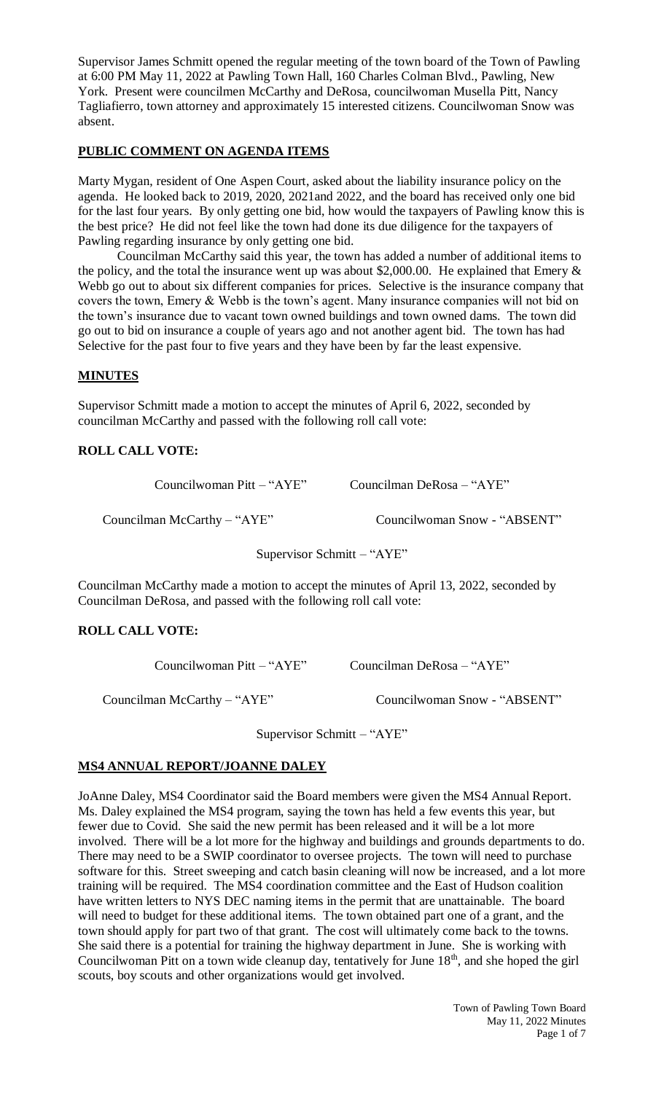Supervisor James Schmitt opened the regular meeting of the town board of the Town of Pawling at 6:00 PM May 11, 2022 at Pawling Town Hall, 160 Charles Colman Blvd., Pawling, New York. Present were councilmen McCarthy and DeRosa, councilwoman Musella Pitt, Nancy Tagliafierro, town attorney and approximately 15 interested citizens. Councilwoman Snow was absent.

# **PUBLIC COMMENT ON AGENDA ITEMS**

Marty Mygan, resident of One Aspen Court, asked about the liability insurance policy on the agenda. He looked back to 2019, 2020, 2021and 2022, and the board has received only one bid for the last four years. By only getting one bid, how would the taxpayers of Pawling know this is the best price? He did not feel like the town had done its due diligence for the taxpayers of Pawling regarding insurance by only getting one bid.

Councilman McCarthy said this year, the town has added a number of additional items to the policy, and the total the insurance went up was about \$2,000.00. He explained that Emery  $\&$ Webb go out to about six different companies for prices. Selective is the insurance company that covers the town, Emery & Webb is the town's agent. Many insurance companies will not bid on the town's insurance due to vacant town owned buildings and town owned dams. The town did go out to bid on insurance a couple of years ago and not another agent bid. The town has had Selective for the past four to five years and they have been by far the least expensive.

## **MINUTES**

Supervisor Schmitt made a motion to accept the minutes of April 6, 2022, seconded by councilman McCarthy and passed with the following roll call vote:

## **ROLL CALL VOTE:**

Councilwoman Pitt – "AYE" Councilman DeRosa – "AYE"

Councilman McCarthy – "AYE" Councilwoman Snow - "ABSENT"

Supervisor Schmitt – "AYE"

Councilman McCarthy made a motion to accept the minutes of April 13, 2022, seconded by Councilman DeRosa, and passed with the following roll call vote:

## **ROLL CALL VOTE:**

Councilwoman Pitt – "AYE" Councilman DeRosa – "AYE"

Councilman McCarthy – "AYE" Councilwoman Snow - "ABSENT"

Supervisor Schmitt – "AYE"

# **MS4 ANNUAL REPORT/JOANNE DALEY**

JoAnne Daley, MS4 Coordinator said the Board members were given the MS4 Annual Report. Ms. Daley explained the MS4 program, saying the town has held a few events this year, but fewer due to Covid. She said the new permit has been released and it will be a lot more involved. There will be a lot more for the highway and buildings and grounds departments to do. There may need to be a SWIP coordinator to oversee projects. The town will need to purchase software for this. Street sweeping and catch basin cleaning will now be increased, and a lot more training will be required. The MS4 coordination committee and the East of Hudson coalition have written letters to NYS DEC naming items in the permit that are unattainable. The board will need to budget for these additional items. The town obtained part one of a grant, and the town should apply for part two of that grant. The cost will ultimately come back to the towns. She said there is a potential for training the highway department in June. She is working with Councilwoman Pitt on a town wide cleanup day, tentatively for June 18<sup>th</sup>, and she hoped the girl scouts, boy scouts and other organizations would get involved.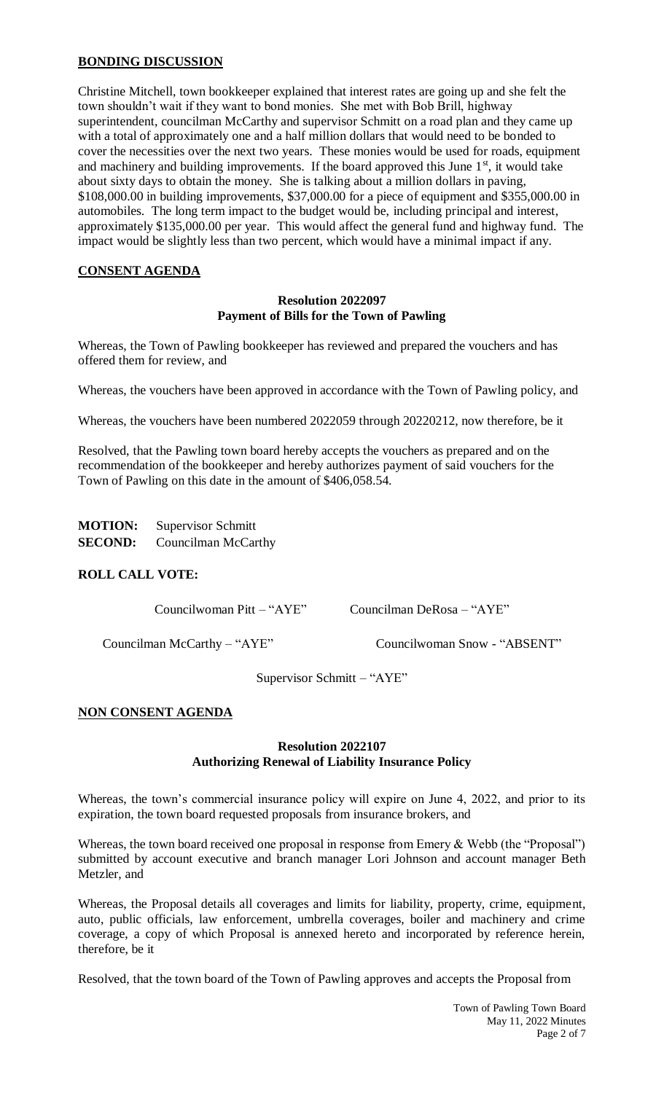## **BONDING DISCUSSION**

Christine Mitchell, town bookkeeper explained that interest rates are going up and she felt the town shouldn't wait if they want to bond monies. She met with Bob Brill, highway superintendent, councilman McCarthy and supervisor Schmitt on a road plan and they came up with a total of approximately one and a half million dollars that would need to be bonded to cover the necessities over the next two years. These monies would be used for roads, equipment and machinery and building improvements. If the board approved this June  $1<sup>st</sup>$ , it would take about sixty days to obtain the money. She is talking about a million dollars in paving, \$108,000.00 in building improvements, \$37,000.00 for a piece of equipment and \$355,000.00 in automobiles. The long term impact to the budget would be, including principal and interest, approximately \$135,000.00 per year. This would affect the general fund and highway fund. The impact would be slightly less than two percent, which would have a minimal impact if any.

## **CONSENT AGENDA**

## **Resolution 2022097 Payment of Bills for the Town of Pawling**

Whereas, the Town of Pawling bookkeeper has reviewed and prepared the vouchers and has offered them for review, and

Whereas, the vouchers have been approved in accordance with the Town of Pawling policy, and

Whereas, the vouchers have been numbered 2022059 through 20220212, now therefore, be it

Resolved, that the Pawling town board hereby accepts the vouchers as prepared and on the recommendation of the bookkeeper and hereby authorizes payment of said vouchers for the Town of Pawling on this date in the amount of \$406,058.54.

| <b>MOTION:</b> | <b>Supervisor Schmitt</b> |
|----------------|---------------------------|
| <b>SECOND:</b> | Councilman McCarthy       |

## **ROLL CALL VOTE:**

Councilwoman Pitt – "AYE" Councilman DeRosa – "AYE"

Councilman McCarthy – "AYE" Councilwoman Snow - "ABSENT"

Supervisor Schmitt – "AYE"

## **NON CONSENT AGENDA**

#### **Resolution 2022107 Authorizing Renewal of Liability Insurance Policy**

Whereas, the town's commercial insurance policy will expire on June 4, 2022, and prior to its expiration, the town board requested proposals from insurance brokers, and

Whereas, the town board received one proposal in response from Emery & Webb (the "Proposal") submitted by account executive and branch manager Lori Johnson and account manager Beth Metzler, and

Whereas, the Proposal details all coverages and limits for liability, property, crime, equipment, auto, public officials, law enforcement, umbrella coverages, boiler and machinery and crime coverage, a copy of which Proposal is annexed hereto and incorporated by reference herein, therefore, be it

Resolved, that the town board of the Town of Pawling approves and accepts the Proposal from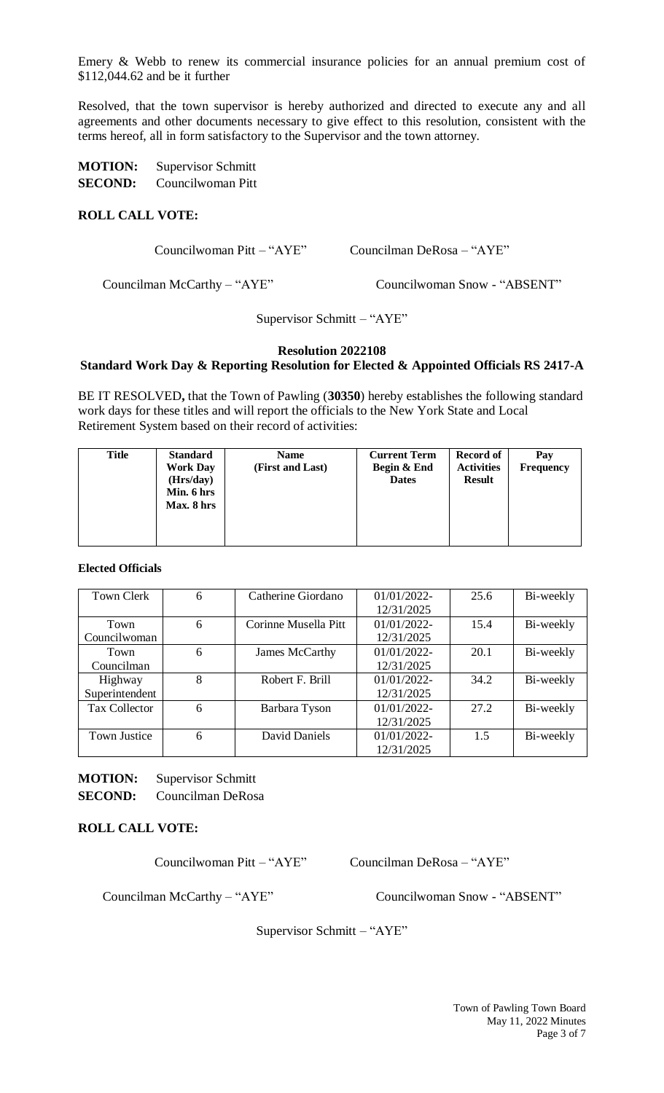Emery & Webb to renew its commercial insurance policies for an annual premium cost of \$112,044.62 and be it further

Resolved, that the town supervisor is hereby authorized and directed to execute any and all agreements and other documents necessary to give effect to this resolution, consistent with the terms hereof, all in form satisfactory to the Supervisor and the town attorney.

| <b>MOTION:</b> | Supervisor Schmitt |
|----------------|--------------------|
| <b>SECOND:</b> | Councilwoman Pitt  |

## **ROLL CALL VOTE:**

Councilwoman Pitt – "AYE" Councilman DeRosa – "AYE"

Councilman McCarthy – "AYE" Councilwoman Snow - "ABSENT"

Supervisor Schmitt – "AYE"

## **Resolution 2022108**

## **Standard Work Day & Reporting Resolution for Elected & Appointed Officials RS 2417-A**

BE IT RESOLVED**,** that the Town of Pawling (**30350**) hereby establishes the following standard work days for these titles and will report the officials to the New York State and Local Retirement System based on their record of activities:

| <b>Title</b> | <b>Standard</b><br><b>Work Day</b><br>(Hrs/day)<br>Min. 6 hrs<br>Max. 8 hrs | <b>Name</b><br>(First and Last) | <b>Current Term</b><br>Begin & End<br><b>Dates</b> | Record of<br><b>Activities</b><br><b>Result</b> | Pay<br><b>Frequency</b> |
|--------------|-----------------------------------------------------------------------------|---------------------------------|----------------------------------------------------|-------------------------------------------------|-------------------------|
|--------------|-----------------------------------------------------------------------------|---------------------------------|----------------------------------------------------|-------------------------------------------------|-------------------------|

**Elected Officials**

| Town Clerk           | 6 | Catherine Giordano   | $01/01/2022$ - | 25.6 | Bi-weekly |
|----------------------|---|----------------------|----------------|------|-----------|
|                      |   |                      | 12/31/2025     |      |           |
| Town                 | 6 | Corinne Musella Pitt | $01/01/2022$ - | 15.4 | Bi-weekly |
| Councilwoman         |   |                      | 12/31/2025     |      |           |
| Town                 | 6 | James McCarthy       | $01/01/2022$ - | 20.1 | Bi-weekly |
| Councilman           |   |                      | 12/31/2025     |      |           |
| Highway              | 8 | Robert F. Brill      | 01/01/2022-    | 34.2 | Bi-weekly |
| Superintendent       |   |                      | 12/31/2025     |      |           |
| <b>Tax Collector</b> | 6 | Barbara Tyson        | $01/01/2022$ - | 27.2 | Bi-weekly |
|                      |   |                      | 12/31/2025     |      |           |
| Town Justice         | 6 | David Daniels        | 01/01/2022-    | 1.5  | Bi-weekly |
|                      |   |                      | 12/31/2025     |      |           |

**MOTION:** Supervisor Schmitt

**SECOND:** Councilman DeRosa

## **ROLL CALL VOTE:**

Councilwoman Pitt – "AYE" Councilman DeRosa – "AYE"

Councilman McCarthy – "AYE" Councilwoman Snow - "ABSENT"

Supervisor Schmitt – "AYE"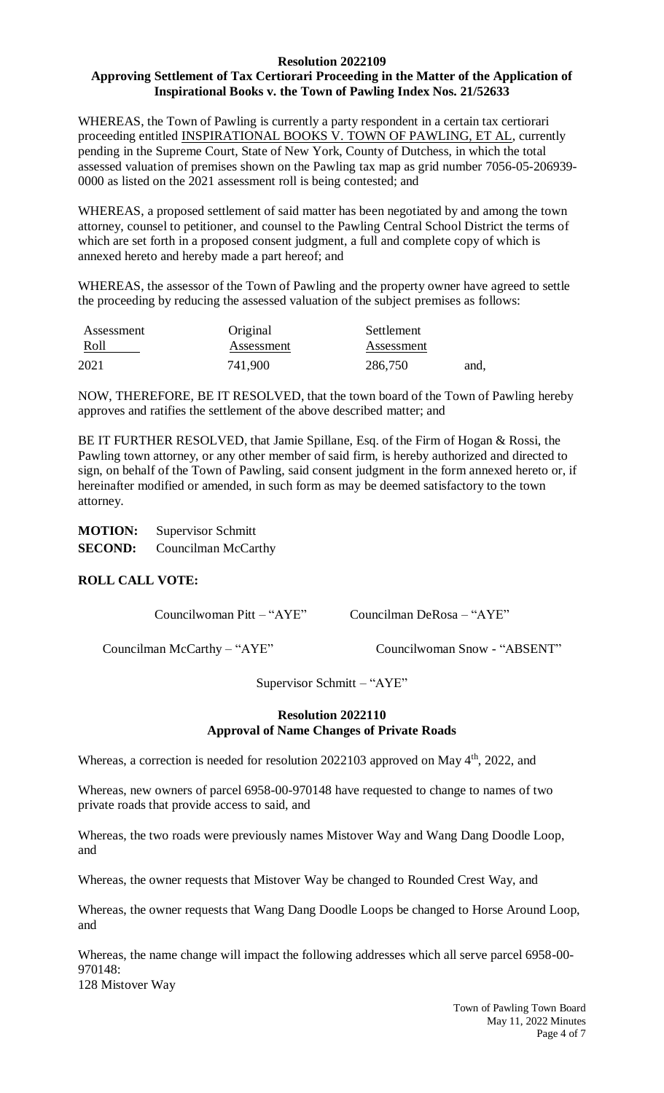#### **Resolution 2022109 Approving Settlement of Tax Certiorari Proceeding in the Matter of the Application of Inspirational Books v. the Town of Pawling Index Nos. 21/52633**

WHEREAS, the Town of Pawling is currently a party respondent in a certain tax certiorari proceeding entitled INSPIRATIONAL BOOKS V. TOWN OF PAWLING, ET AL, currently pending in the Supreme Court, State of New York, County of Dutchess, in which the total assessed valuation of premises shown on the Pawling tax map as grid number 7056-05-206939- 0000 as listed on the 2021 assessment roll is being contested; and

WHEREAS, a proposed settlement of said matter has been negotiated by and among the town attorney, counsel to petitioner, and counsel to the Pawling Central School District the terms of which are set forth in a proposed consent judgment, a full and complete copy of which is annexed hereto and hereby made a part hereof; and

WHEREAS, the assessor of the Town of Pawling and the property owner have agreed to settle the proceeding by reducing the assessed valuation of the subject premises as follows:

| Assessment | Original   | Settlement |      |
|------------|------------|------------|------|
| Roll       | Assessment | Assessment |      |
| 2021       | 741,900    | 286,750    | and, |

NOW, THEREFORE, BE IT RESOLVED, that the town board of the Town of Pawling hereby approves and ratifies the settlement of the above described matter; and

BE IT FURTHER RESOLVED, that Jamie Spillane, Esq. of the Firm of Hogan & Rossi, the Pawling town attorney, or any other member of said firm, is hereby authorized and directed to sign, on behalf of the Town of Pawling, said consent judgment in the form annexed hereto or, if hereinafter modified or amended, in such form as may be deemed satisfactory to the town attorney.

| <b>MOTION:</b> | <b>Supervisor Schmitt</b> |  |
|----------------|---------------------------|--|
| <b>SECOND:</b> | Councilman McCarthy       |  |

# **ROLL CALL VOTE:**

Councilwoman Pitt – "AYE" Councilman DeRosa – "AYE"

Councilman McCarthy – "AYE" Councilwoman Snow - "ABSENT"

Supervisor Schmitt – "AYE"

## **Resolution 2022110 Approval of Name Changes of Private Roads**

Whereas, a correction is needed for resolution 2022103 approved on May 4<sup>th</sup>, 2022, and

Whereas, new owners of parcel 6958-00-970148 have requested to change to names of two private roads that provide access to said, and

Whereas, the two roads were previously names Mistover Way and Wang Dang Doodle Loop, and

Whereas, the owner requests that Mistover Way be changed to Rounded Crest Way, and

Whereas, the owner requests that Wang Dang Doodle Loops be changed to Horse Around Loop, and

Whereas, the name change will impact the following addresses which all serve parcel 6958-00- 970148: 128 Mistover Way

> Town of Pawling Town Board May 11, 2022 Minutes Page 4 of 7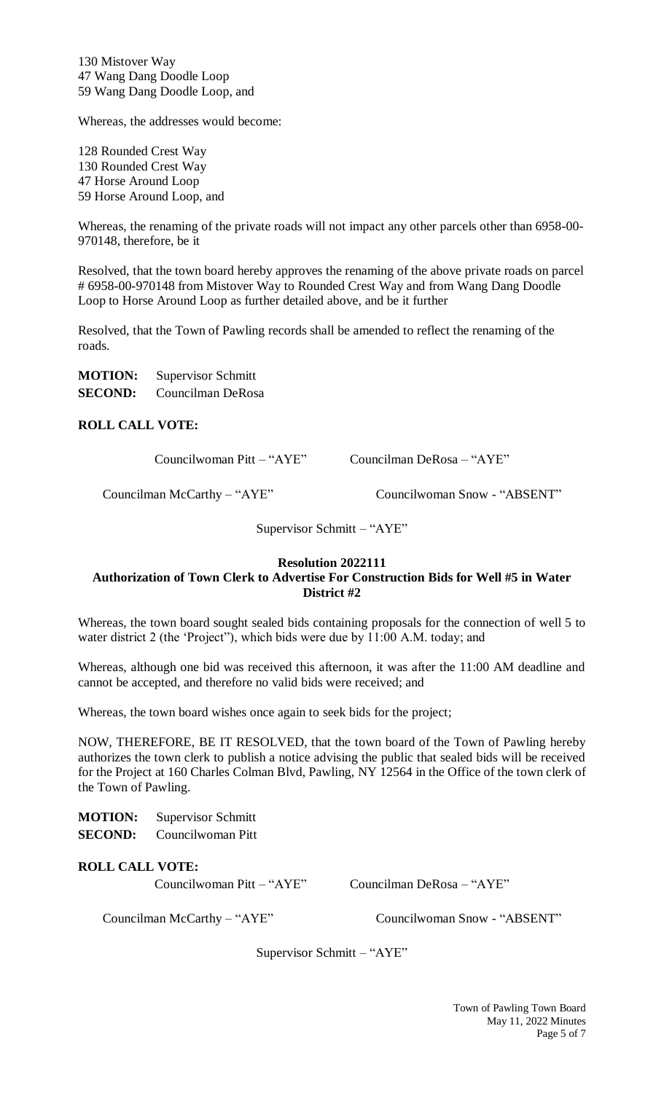130 Mistover Way 47 Wang Dang Doodle Loop 59 Wang Dang Doodle Loop, and

Whereas, the addresses would become:

128 Rounded Crest Way 130 Rounded Crest Way 47 Horse Around Loop 59 Horse Around Loop, and

Whereas, the renaming of the private roads will not impact any other parcels other than 6958-00- 970148, therefore, be it

Resolved, that the town board hereby approves the renaming of the above private roads on parcel # 6958-00-970148 from Mistover Way to Rounded Crest Way and from Wang Dang Doodle Loop to Horse Around Loop as further detailed above, and be it further

Resolved, that the Town of Pawling records shall be amended to reflect the renaming of the roads.

| <b>MOTION:</b> | <b>Supervisor Schmitt</b> |
|----------------|---------------------------|
| <b>SECOND:</b> | Councilman DeRosa         |

**ROLL CALL VOTE:**

Councilwoman Pitt – "AYE" Councilman DeRosa – "AYE"

Councilman McCarthy – "AYE" Councilwoman Snow - "ABSENT"

Supervisor Schmitt – "AYE"

#### **Resolution 2022111 Authorization of Town Clerk to Advertise For Construction Bids for Well #5 in Water District #2**

Whereas, the town board sought sealed bids containing proposals for the connection of well 5 to water district 2 (the 'Project"), which bids were due by 11:00 A.M. today; and

Whereas, although one bid was received this afternoon, it was after the 11:00 AM deadline and cannot be accepted, and therefore no valid bids were received; and

Whereas, the town board wishes once again to seek bids for the project;

NOW, THEREFORE, BE IT RESOLVED, that the town board of the Town of Pawling hereby authorizes the town clerk to publish a notice advising the public that sealed bids will be received for the Project at 160 Charles Colman Blvd, Pawling, NY 12564 in the Office of the town clerk of the Town of Pawling.

| <b>MOTION:</b> | <b>Supervisor Schmitt</b> |  |
|----------------|---------------------------|--|
|                |                           |  |

**SECOND:** Councilwoman Pitt

## **ROLL CALL VOTE:**

Councilwoman Pitt – "AYE" Councilman DeRosa – "AYE"

Councilman McCarthy – "AYE" Councilwoman Snow - "ABSENT"

Supervisor Schmitt – "AYE"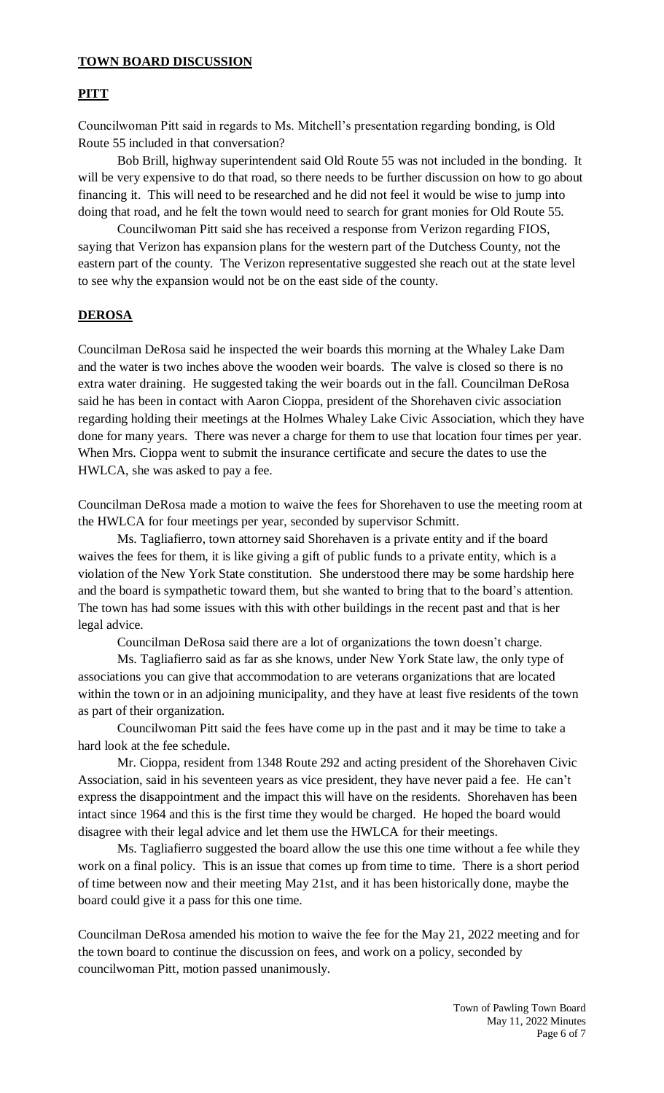## **TOWN BOARD DISCUSSION**

## **PITT**

Councilwoman Pitt said in regards to Ms. Mitchell's presentation regarding bonding, is Old Route 55 included in that conversation?

Bob Brill, highway superintendent said Old Route 55 was not included in the bonding. It will be very expensive to do that road, so there needs to be further discussion on how to go about financing it. This will need to be researched and he did not feel it would be wise to jump into doing that road, and he felt the town would need to search for grant monies for Old Route 55.

Councilwoman Pitt said she has received a response from Verizon regarding FIOS, saying that Verizon has expansion plans for the western part of the Dutchess County, not the eastern part of the county. The Verizon representative suggested she reach out at the state level to see why the expansion would not be on the east side of the county.

#### **DEROSA**

Councilman DeRosa said he inspected the weir boards this morning at the Whaley Lake Dam and the water is two inches above the wooden weir boards. The valve is closed so there is no extra water draining. He suggested taking the weir boards out in the fall. Councilman DeRosa said he has been in contact with Aaron Cioppa, president of the Shorehaven civic association regarding holding their meetings at the Holmes Whaley Lake Civic Association, which they have done for many years. There was never a charge for them to use that location four times per year. When Mrs. Cioppa went to submit the insurance certificate and secure the dates to use the HWLCA, she was asked to pay a fee.

Councilman DeRosa made a motion to waive the fees for Shorehaven to use the meeting room at the HWLCA for four meetings per year, seconded by supervisor Schmitt.

Ms. Tagliafierro, town attorney said Shorehaven is a private entity and if the board waives the fees for them, it is like giving a gift of public funds to a private entity, which is a violation of the New York State constitution. She understood there may be some hardship here and the board is sympathetic toward them, but she wanted to bring that to the board's attention. The town has had some issues with this with other buildings in the recent past and that is her legal advice.

Councilman DeRosa said there are a lot of organizations the town doesn't charge.

Ms. Tagliafierro said as far as she knows, under New York State law, the only type of associations you can give that accommodation to are veterans organizations that are located within the town or in an adjoining municipality, and they have at least five residents of the town as part of their organization.

Councilwoman Pitt said the fees have come up in the past and it may be time to take a hard look at the fee schedule.

Mr. Cioppa, resident from 1348 Route 292 and acting president of the Shorehaven Civic Association, said in his seventeen years as vice president, they have never paid a fee. He can't express the disappointment and the impact this will have on the residents. Shorehaven has been intact since 1964 and this is the first time they would be charged. He hoped the board would disagree with their legal advice and let them use the HWLCA for their meetings.

Ms. Tagliafierro suggested the board allow the use this one time without a fee while they work on a final policy. This is an issue that comes up from time to time. There is a short period of time between now and their meeting May 21st, and it has been historically done, maybe the board could give it a pass for this one time.

Councilman DeRosa amended his motion to waive the fee for the May 21, 2022 meeting and for the town board to continue the discussion on fees, and work on a policy, seconded by councilwoman Pitt, motion passed unanimously.